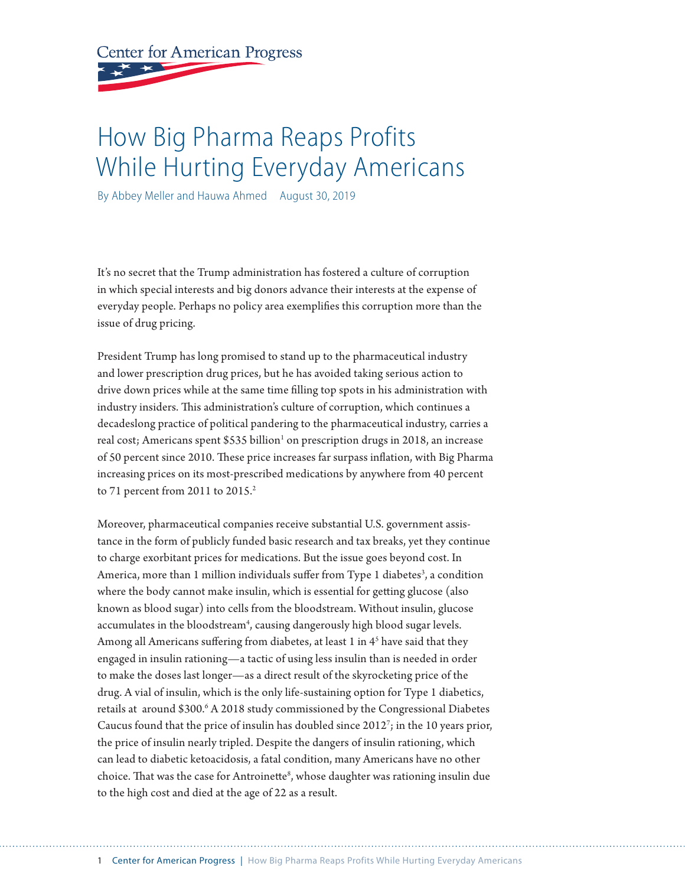**Center for American Progress** 

# How Big Pharma Reaps Profits While Hurting Everyday Americans

By Abbey Meller and Hauwa Ahmed August 30, 2019

It's no secret that the Trump administration has fostered a culture of corruption in which special interests and big donors advance their interests at the expense of everyday people. Perhaps no policy area exemplifies this corruption more than the issue of drug pricing.

President Trump has long promised to stand up to the pharmaceutical industry and lower prescription drug prices, but he has avoided taking serious action to drive down prices while at the same time filling top spots in his administration with industry insiders. This administration's culture of corruption, which continues a decadeslong practice of political pandering to the pharmaceutical industry, carries a real cost; Americans spent \$535 billion<sup>1</sup> on prescription drugs in 2018, an increase of 50 percent since 2010. These price increases far surpass inflation, with Big Pharma increasing prices on its most-prescribed medications by anywhere from 40 percent to 71 percent from 2011 to  $2015.<sup>2</sup>$ 

Moreover, pharmaceutical companies receive substantial U.S. government assistance in the form of publicly funded basic research and tax breaks, yet they continue to charge exorbitant prices for medications. But the issue goes beyond cost. In America, more than 1 million individuals suffer from Type 1 diabetes<sup>3</sup>, a condition where the body cannot make insulin, which is essential for getting glucose (also known as blood sugar) into cells from the bloodstream. Without insulin, glucose accumulates in the bloodstream<sup>4</sup>, causing dangerously high blood sugar levels. Among all Americans suffering from diabetes, at least 1 in 4<sup>5</sup> have said that they engaged in insulin rationing—a tactic of using less insulin than is needed in order to make the doses last longer—as a direct result of the skyrocketing price of the drug. A vial of insulin, which is the only life-sustaining option for Type 1 diabetics, retails at around \$300.<sup>6</sup> A 2018 study commissioned by the Congressional Diabetes Caucus found that the price of insulin has doubled since 20127 ; in the 10 years prior, the price of insulin nearly tripled. Despite the dangers of insulin rationing, which can lead to diabetic ketoacidosis, a fatal condition, many Americans have no other choice. That was the case for Antroinette<sup>8</sup>, whose daughter was rationing insulin due to the high cost and died at the age of 22 as a result.

1 Center for American Progress | How Big Pharma Reaps Profits While Hurting Everyday Americans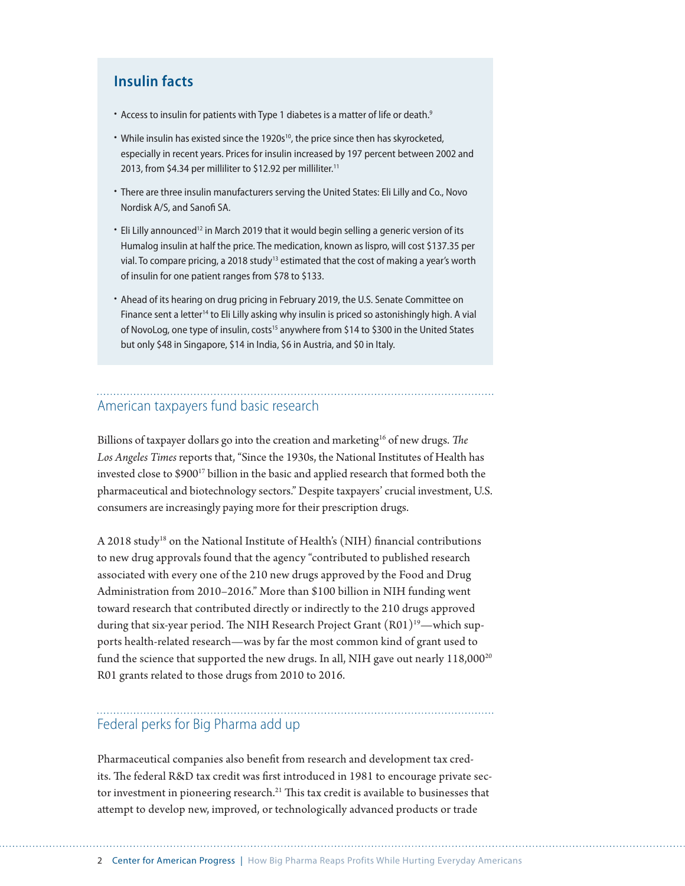### **Insulin facts**

- Access to insulin for patients with Type 1 diabetes is a matter of life or death.<sup>9</sup>
- While insulin has existed since the 1920s<sup>10</sup>, the price since then has skyrocketed, especially in recent years. Prices for insulin increased by 197 percent between 2002 and 2013, from \$4.34 per milliliter to \$12.92 per milliliter.<sup>11</sup>
- There are three insulin manufacturers serving the United States: Eli Lilly and Co., Novo Nordisk A/S, and Sanofi SA.
- Eli Lilly announced<sup>12</sup> in March 2019 that it would begin selling a generic version of its Humalog insulin at half the price. The medication, known as lispro, will cost \$137.35 per vial. To compare pricing, a 2018 study<sup>13</sup> estimated that the cost of making a year's worth of insulin for one patient ranges from \$78 to \$133.
- Ahead of its hearing on drug pricing in February 2019, the U.S. Senate Committee on Finance sent a letter<sup>14</sup> to Eli Lilly asking why insulin is priced so astonishingly high. A vial of NovoLog, one type of insulin, costs<sup>15</sup> anywhere from \$14 to \$300 in the United States but only \$48 in Singapore, \$14 in India, \$6 in Austria, and \$0 in Italy.

#### American taxpayers fund basic research

Billions of taxpayer dollars go into the creation and marketing<sup>16</sup> of new drugs. *The Los Angeles Times* reports that, "Since the 1930s, the National Institutes of Health has invested close to \$900<sup>17</sup> billion in the basic and applied research that formed both the pharmaceutical and biotechnology sectors." Despite taxpayers' crucial investment, U.S. consumers are increasingly paying more for their prescription drugs.

A 2018 study18 on the National Institute of Health's (NIH) financial contributions to new drug approvals found that the agency "contributed to published research associated with [every one of the 210](https://www.ncbi.nlm.nih.gov/pmc/articles/PMC5878010/) new drugs approved by the Food and Drug Administration from 2010–2016." More than \$100 billion in NIH funding went toward research that contributed directly or indirectly to the 210 drugs approved during that six-year period. The NIH Research Project Grant  $(R01)^{19}$ —which supports health-related research—was by far the most common kind of grant used to fund the science that supported the new drugs. In all, NIH gave out nearly 118,000<sup>20</sup> R01 grants related to those drugs from 2010 to 2016.

# Federal perks for Big Pharma add up

Pharmaceutical companies also benefit from research and development tax credits. The federal R&D tax credit was first introduced in 1981 to encourage private sector investment in pioneering research.<sup>21</sup> This tax credit is available to businesses that attempt to develop new, improved, or technologically advanced products or trade

2 Center for American Progress | How Big Pharma Reaps Profits While Hurting Everyday Americans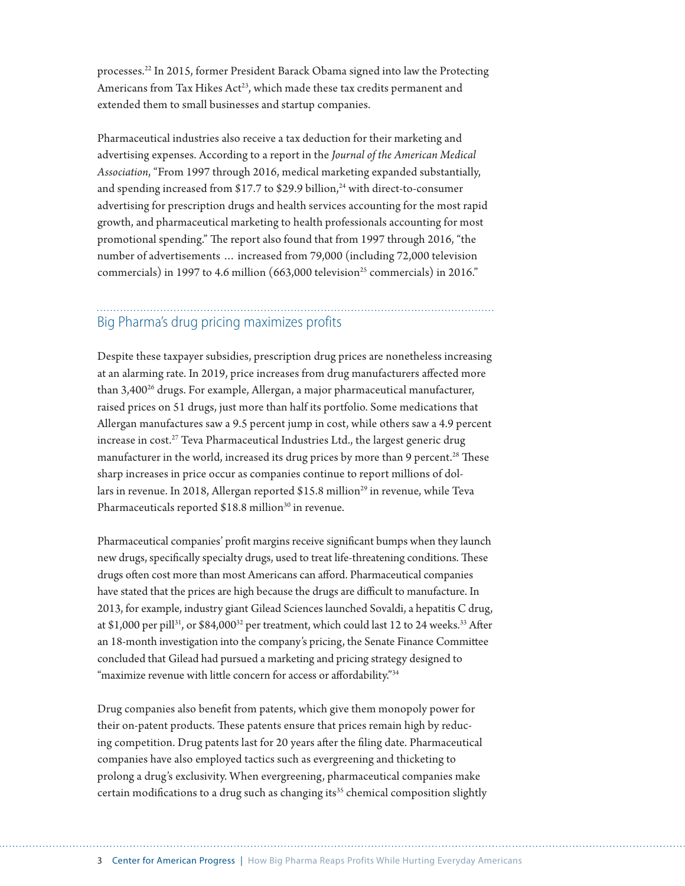processes.22 In 2015, former President Barack Obama signed into law the Protecting Americans from Tax Hikes Act<sup>23</sup>, which made these tax credits permanent and extended them to small businesses and startup companies.

Pharmaceutical industries also receive a tax deduction for their marketing and advertising expenses. According to a report in the *Journal of the American Medical Association*, "From 1997 through 2016, medical marketing expanded substantially, and spending increased from \$17.7 to \$29.9 billion, $^{24}$  with direct-to-consumer advertising for prescription drugs and health services accounting for the most rapid growth, and pharmaceutical marketing to health professionals accounting for most promotional spending." The report also found that from 1997 through 2016, "the number of advertisements … increased from 79,000 (including 72,000 television commercials) in 1997 to 4.6 million  $(663,000)$  television<sup>25</sup> commercials) in 2016."

# Big Pharma's drug pricing maximizes profits

Despite these taxpayer subsidies, prescription drug prices are nonetheless increasing at an alarming rate. In 2019, price increases from drug manufacturers affected more than 3,400<sup>26</sup> drugs. For example, Allergan, a major pharmaceutical manufacturer, raised prices on 51 drugs, just more than half its portfolio. Some medications that Allergan manufactures saw a 9.5 percent jump in cost, while others saw a 4.9 percent increase in cost.<sup>27</sup> Teva Pharmaceutical Industries Ltd., the largest generic drug manufacturer in the world, increased its drug prices by more than 9 percent.<sup>28</sup> These sharp increases in price occur as companies continue to report millions of dollars in revenue. In 2018, Allergan reported \$15.8 million<sup>29</sup> in revenue, while Teva Pharmaceuticals reported \$18.8 million<sup>30</sup> in revenue.

Pharmaceutical companies' profit margins receive significant bumps when they launch new drugs, specifically specialty drugs, used to treat life-threatening conditions. These drugs often cost more than most Americans can afford. Pharmaceutical companies have stated that the prices are high because the drugs are difficult to manufacture. In 2013, for example, industry giant Gilead Sciences launched Sovaldi, a hepatitis C drug, at \$1,000 per pill<sup>31</sup>, or \$84,000<sup>32</sup> per treatment, which could last 12 to 24 weeks.<sup>33</sup> After an 18-month investigation into the company's pricing, the Senate Finance Committee concluded that Gilead had pursued a marketing and pricing strategy designed to "maximize revenue with little concern for access or affordability."<sup>34</sup>

Drug companies also benefit from patents, which give them monopoly power for their on-patent products. These patents ensure that prices remain high by reducing competition. Drug patents last for 20 years after the filing date. Pharmaceutical companies have also employed tactics such as evergreening and thicketing to prolong a drug's exclusivity. When evergreening, pharmaceutical companies make certain modifications to a drug such as changing its<sup>35</sup> chemical composition slightly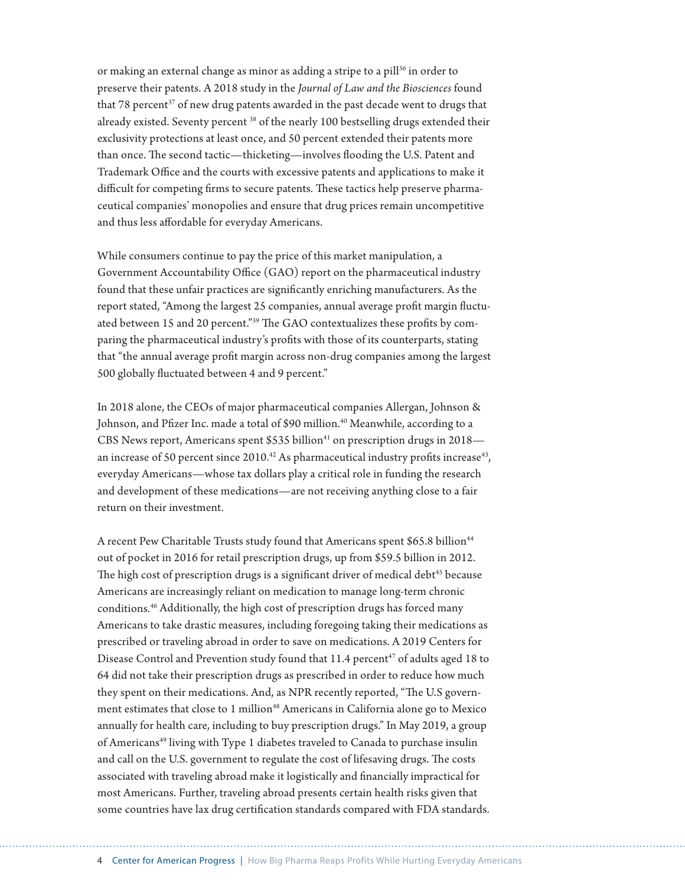or making an external change as minor as adding a stripe to a pill<sup>36</sup> in order to preserve their patents. A 2018 study in the *Journal of Law and the Biosciences* found that 78 percent<sup>37</sup> of new drug patents awarded in the past decade went to drugs that already existed. Seventy percent 38 of the nearly 100 bestselling drugs extended their exclusivity protections at least once, and 50 percent extended their patents more than once. The second tactic—thicketing—involves flooding the U.S. Patent and Trademark Office and the courts with excessive patents and applications to make it difficult for competing firms to secure patents. These tactics help preserve pharmaceutical companies' monopolies and ensure that drug prices remain uncompetitive and thus less affordable for everyday Americans.

While consumers continue to pay the price of this market manipulation, a Government Accountability Office (GAO) report on the pharmaceutical industry found that these unfair practices are significantly enriching manufacturers. As the report stated, "Among the largest 25 companies, annual average profit margin fluctuated between 15 and 20 percent."39 The GAO contextualizes these profits by comparing the pharmaceutical industry's profits with those of its counterparts, stating that "the annual average profit margin across non-drug companies among the largest 500 globally fluctuated between 4 and 9 percent."

In 2018 alone, the CEOs of major pharmaceutical companies Allergan, Johnson & Johnson, and Pfizer Inc. made a total of [\\$90 million.](https://graphics.wsj.com/table/CEOPAY_slice_Pharma_0606)<sup>40</sup> Meanwhile, according to a CBS News report, Americans spent  $$535$  billion<sup>41</sup> on prescription drugs in 2018 an increase of 50 percent since  $2010^{42}$  As pharmaceutical industry profits increase<sup>43</sup>, everyday Americans—whose tax dollars play a critical role in funding the research and development of these medications—are not receiving anything close to a fair return on their investment.

A recent Pew Charitable Trusts study found that Americans spent \$65.8 billion<sup>44</sup> out of pocket in 2016 for retail prescription drugs, up from \$59.5 billion in 2012. The high cost of prescription drugs is a significant driver of medical debt<sup>45</sup> because Americans are increasingly reliant on medication to manage long-term chronic conditions.<sup>46</sup> Additionally, the high cost of prescription drugs has forced many Americans to take drastic measures, including foregoing taking their medications as prescribed or traveling abroad in order to save on medications. A 2019 Centers for Disease Control and Prevention study found that 11.4 percent<sup>47</sup> of adults aged 18 to 64 did not take their prescription drugs as prescribed in order to reduce how much they spent on their medications. And, as NPR recently reported, "The U.S government estimates that close to 1 million<sup>48</sup> Americans in California alone go to Mexico annually for health care, including to buy prescription drugs." In May 2019, a group of Americans<sup>49</sup> living with Type 1 diabetes traveled to Canada to purchase insulin and call on the U.S. government to regulate the cost of lifesaving drugs. The costs associated with traveling abroad make it logistically and financially impractical for most Americans. Further, traveling abroad presents certain health risks given that some countries have lax drug certification standards compared with FDA standards.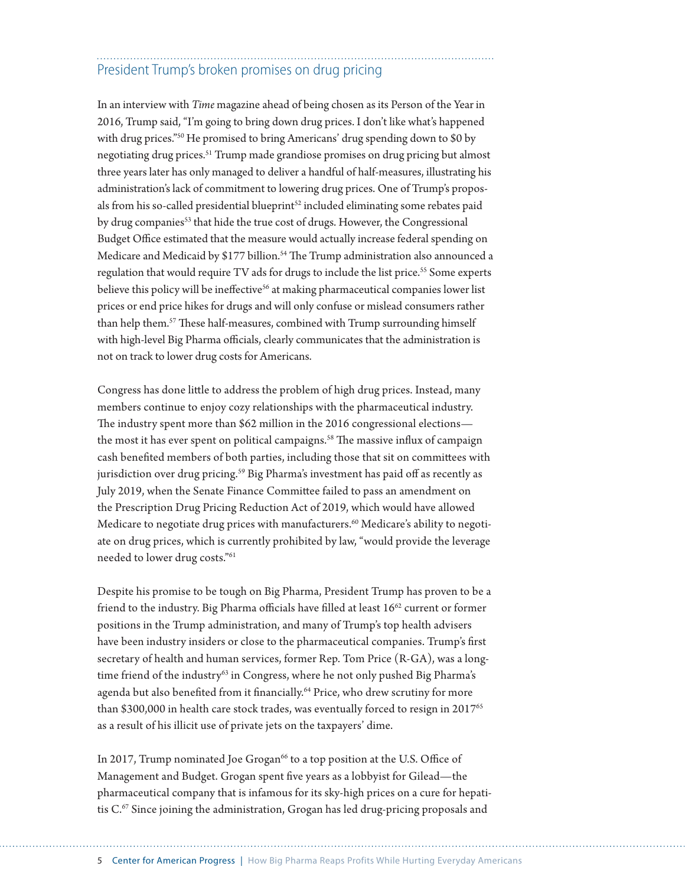# President Trump's broken promises on drug pricing

In an interview with *Time* magazine ahead of being chosen as its Person of the Year in 2016, Trump said, "I'm going to bring down drug prices. I don't like what's happened with drug prices."50 He promised to bring Americans' drug spending down to \$0 by negotiating drug prices.51 Trump made grandiose promises on drug pricing but almost three years later has only managed to deliver a handful of half-measures, illustrating his administration's lack of commitment to lowering drug prices. One of Trump's proposals from his so-called presidential blueprint<sup>52</sup> included eliminating some rebates paid by drug companies<sup>53</sup> that hide the true cost of drugs. However, the Congressional Budget Office estimated that the measure would actually increase federal spending on Medicare and Medicaid by \$177 billion.<sup>54</sup> The Trump administration also announced a regulation that would require TV ads for drugs to include the list price.<sup>55</sup> Some experts believe this policy will be ineffective<sup>56</sup> at making pharmaceutical companies lower list prices or end price hikes for drugs and will only confuse or mislead consumers rather than help them.57 These half-measures, combined with Trump surrounding himself with high-level Big Pharma officials, clearly communicates that the administration is not on track to lower drug costs for Americans.

Congress has done little to address the problem of high drug prices. Instead, many members continue to enjoy cozy relationships with the pharmaceutical industry. The industry spent more than \$62 million in the 2016 congressional elections the most it has ever spent on political campaigns.<sup>58</sup> The massive influx of campaign cash benefited members of both parties, including those that sit on committees with jurisdiction over drug pricing.<sup>59</sup> Big Pharma's investment has paid off as recently as July 2019, when the Senate Finance Committee failed to pass an amendment on the Prescription Drug Pricing Reduction Act of 2019, which would have allowed Medicare to negotiate drug prices with manufacturers.<sup>60</sup> Medicare's ability to negotiate on drug prices, which is currently prohibited by law, "would provide the leverage needed to lower drug costs."61

Despite his promise to be tough on Big Pharma, President Trump has proven to be a friend to the industry. Big Pharma officials have filled at least 16<sup>62</sup> current or former positions in the Trump administration, and many of Trump's top health advisers have been industry insiders or close to the pharmaceutical companies. Trump's first secretary of health and human services, former Rep. Tom Price (R-GA), was a longtime friend of the industry<sup>63</sup> in Congress, where he not only pushed Big Pharma's agenda but also benefited from it financially.<sup>64</sup> Price, who drew scrutiny for more than \$300,000 in health care stock trades, was eventually forced to resign in  $2017^{65}$ as a result of his illicit use of private jets on the taxpayers' dime.

In 2017, Trump nominated Joe Grogan<sup>66</sup> to a top position at the U.S. Office of Management and Budget. Grogan spent five years as a lobbyist for Gilead—the pharmaceutical company that is infamous for its sky-high prices on a cure for hepatitis C.<sup>67</sup> Since joining the administration, Grogan has led drug-pricing proposals and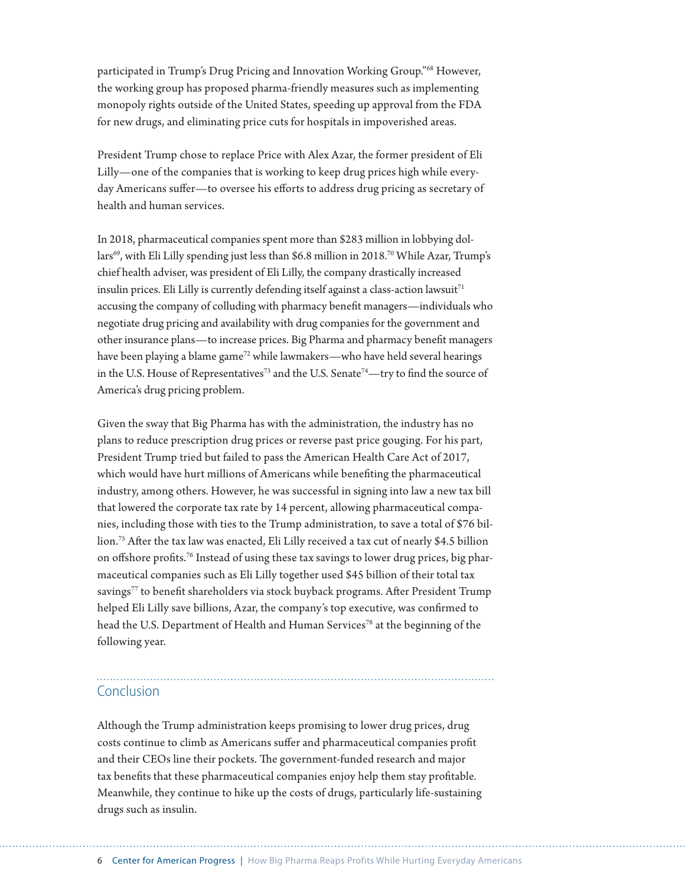participated in Trump's Drug Pricing and Innovation Working Group."68 However, the working group has proposed pharma-friendly measures such as implementing monopoly rights outside of the United States, speeding up approval from the FDA for new drugs, and eliminating price cuts for hospitals in impoverished areas.

President Trump chose to replace Price with Alex Azar, the former president of Eli Lilly—one of the companies that is working to keep drug prices high while everyday Americans suffer—to oversee his efforts to address drug pricing as secretary of health and human services.

In 2018, pharmaceutical companies spent more than \$283 million in lobbying dollars<sup>69</sup>, with Eli Lilly spending just less than \$6.8 million in 2018.<sup>70</sup> While Azar, Trump's chief health adviser, was president of Eli Lilly, the company drastically increased insulin prices. Eli Lilly is currently defending itself against a class-action lawsuit $71$ accusing the company of colluding with pharmacy benefit managers—individuals who negotiate drug pricing and availability with drug companies for the government and other insurance plans—to increase prices. Big Pharma and pharmacy benefit managers have been playing a blame game<sup>72</sup> while lawmakers—who have held several hearings in the U.S. House of Representatives<sup>73</sup> and the U.S. Senate<sup>74</sup>—try to find the source of America's drug pricing problem.

Given the sway that Big Pharma has with the administration, the industry has no plans to reduce prescription drug prices or reverse past price gouging. For his part, President Trump tried but failed to pass the American Health Care Act of 2017, which would have hurt millions of Americans while benefiting the pharmaceutical industry, among others. However, he was successful in signing into law a new tax bill that lowered the corporate tax rate by 14 percent, allowing pharmaceutical companies, including those with ties to the Trump administration, to save a total of \$76 billion.75 After the tax law was enacted, Eli Lilly received a tax cut of nearly \$4.5 billion on offshore profits.76 Instead of using these tax savings to lower drug prices, big pharmaceutical companies such as Eli Lilly together used \$45 billion of their total tax savings<sup>77</sup> to benefit shareholders via stock buyback programs. After President Trump helped Eli Lilly save billions, Azar, the company's top executive, was confirmed to head the U.S. Department of Health and Human Services<sup>78</sup> at the beginning of the following year.

## Conclusion

Although the Trump administration keeps promising to lower drug prices, drug costs continue to climb as Americans suffer and pharmaceutical companies profit and their CEOs line their pockets. The government-funded research and major tax benefits that these pharmaceutical companies enjoy help them stay profitable. Meanwhile, they continue to hike up the costs of drugs, particularly life-sustaining drugs such as insulin.

6 Center for American Progress | How Big Pharma Reaps Profits While Hurting Everyday Americans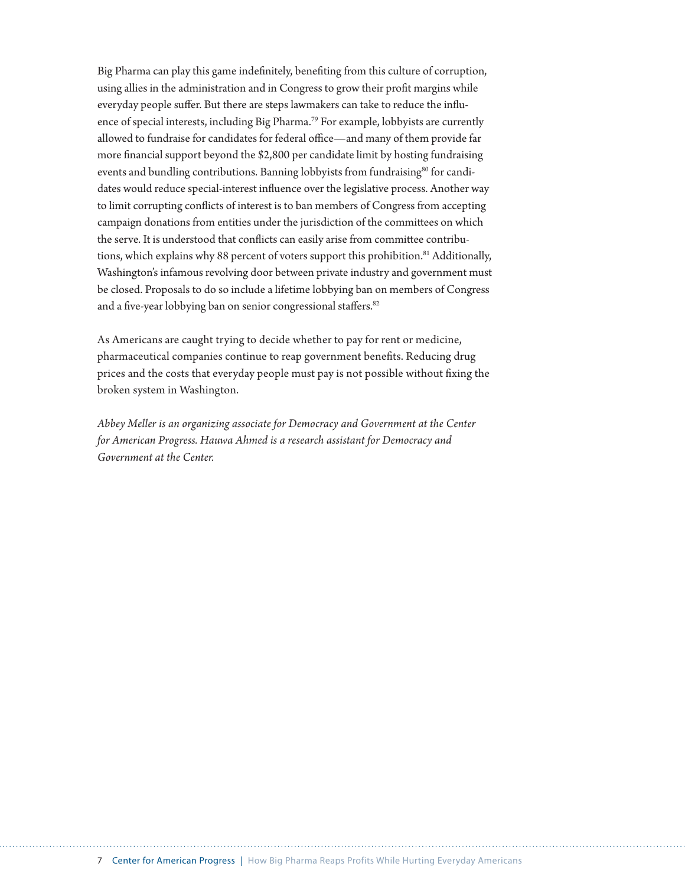Big Pharma can play this game indefinitely, benefiting from this culture of corruption, using allies in the administration and in Congress to grow their profit margins while everyday people suffer. But there are steps lawmakers can take to reduce the influence of special interests, including Big Pharma.<sup>79</sup> For example, lobbyists are currently allowed to fundraise for candidates for federal office—and many of them provide far more financial support beyond the \$2,800 per candidate limit by hosting fundraising events and bundling contributions. Banning lobbyists from fundraising<sup>80</sup> for candidates would reduce special-interest influence over the legislative process. Another way to limit corrupting conflicts of interest is to ban members of Congress from accepting campaign donations from entities under the jurisdiction of the committees on which the serve. It is understood that conflicts can easily arise from committee contributions, which explains why 88 percent of voters support this prohibition.<sup>81</sup> Additionally, Washington's infamous revolving door between private industry and government must be closed. Proposals to do so include a lifetime lobbying ban on members of Congress and a five-year lobbying ban on senior congressional staffers.<sup>82</sup>

As Americans are caught trying to decide whether to pay for rent or medicine, pharmaceutical companies continue to reap government benefits. Reducing drug prices and the costs that everyday people must pay is not possible without fixing the broken system in Washington.

*Abbey Meller is an organizing associate for Democracy and Government at the Center for American Progress. Hauwa Ahmed is a research assistant for Democracy and Government at the Center.*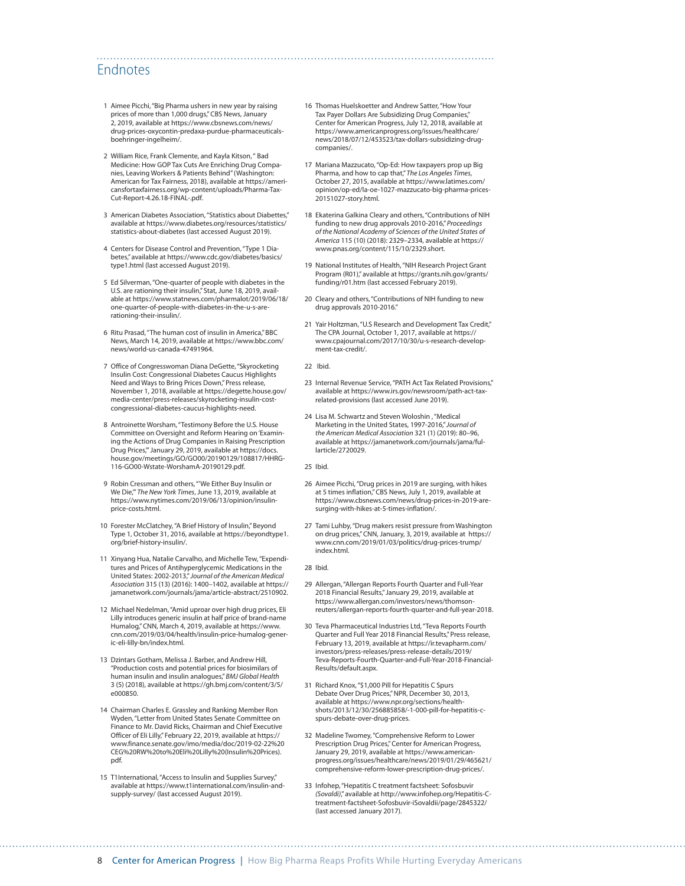#### Endnotes

- 1 Aimee Picchi, "Big Pharma ushers in new year by raising prices of more than 1,000 drugs," CBS News, January 2, 2019, available at [https://www.cbsnews.com/news/](https://www.cbsnews.com/news/drug-prices-oxycontin-predaxa-purdue-pharmaceuticals-boehringer-ingelheim/) [drug-prices-oxycontin-predaxa-purdue-pharmaceuticals](https://www.cbsnews.com/news/drug-prices-oxycontin-predaxa-purdue-pharmaceuticals-boehringer-ingelheim/)[boehringer-ingelheim/.](https://www.cbsnews.com/news/drug-prices-oxycontin-predaxa-purdue-pharmaceuticals-boehringer-ingelheim/)
- 2 William Rice, Frank Clemente, and Kayla Kitson, " Bad Medicine: How GOP Tax Cuts Are Enriching Drug Companies, Leaving Workers & Patients Behind" (Washington: American for Tax Fairness, 2018), available at [https://ameri](https://americansfortaxfairness.org/wp-content/uploads/Pharma-Tax-Cut-Report-4.26.18-FINAL-.pdf)[cansfortaxfairness.org/wp-content/uploads/Pharma-Tax-](https://americansfortaxfairness.org/wp-content/uploads/Pharma-Tax-Cut-Report-4.26.18-FINAL-.pdf)[Cut-Report-4.26.18-FINAL-.pdf](https://americansfortaxfairness.org/wp-content/uploads/Pharma-Tax-Cut-Report-4.26.18-FINAL-.pdf).
- 3 American Diabetes Association, "Statistics about Diabettes," available at [https://www.diabetes.org/resources/statistics/](https://www.diabetes.org/resources/statistics/statistics-about-diabetes) [statistics-about-diabetes](https://www.diabetes.org/resources/statistics/statistics-about-diabetes) (last accessed August 2019).
- 4 Centers for Disease Control and Prevention, "Type 1 Diabetes," available at [https://www.cdc.gov/diabetes/basics/](https://www.cdc.gov/diabetes/basics/type1.html) [type1.html](https://www.cdc.gov/diabetes/basics/type1.html) (last accessed August 2019).
- 5 Ed Silverman, "One-quarter of people with diabetes in the U.S. are rationing their insulin," Stat, June 18, 2019, available at [https://www.statnews.com/pharmalot/2019/06/18/](https://www.statnews.com/pharmalot/2019/06/18/one-quarter-of-people-with-diabetes-in-the-u-s-are-rationing-their-insulin/) [one-quarter-of-people-with-diabetes-in-the-u-s-are](https://www.statnews.com/pharmalot/2019/06/18/one-quarter-of-people-with-diabetes-in-the-u-s-are-rationing-their-insulin/)[rationing-their-insulin/.](https://www.statnews.com/pharmalot/2019/06/18/one-quarter-of-people-with-diabetes-in-the-u-s-are-rationing-their-insulin/)
- 6 Ritu Prasad, "The human cost of insulin in America," BBC News, March 14, 2019, available at [https://www.bbc.com/](https://www.bbc.com/news/world-us-canada-47491964) [news/world-us-canada-47491964.](https://www.bbc.com/news/world-us-canada-47491964)
- 7 Office of Congresswoman Diana DeGette, "Skyrocketing Insulin Cost: Congressional Diabetes Caucus Highlights Need and Ways to Bring Prices Down," Press release, November 1, 2018, available at [https://degette.house.gov/](https://degette.house.gov/media-center/press-releases/skyrocketing-insulin-cost-congressional-diabetes-caucus-highlights-need) [media-center/press-releases/skyrocketing-insulin-cost](https://degette.house.gov/media-center/press-releases/skyrocketing-insulin-cost-congressional-diabetes-caucus-highlights-need)[congressional-diabetes-caucus-highlights-need.](https://degette.house.gov/media-center/press-releases/skyrocketing-insulin-cost-congressional-diabetes-caucus-highlights-need)
- 8 Antroinette Worsham, "Testimony Before the U.S. House Committee on Oversight and Reform Hearing on 'Examining the Actions of Drug Companies in Raising Prescription Drug Prices,'" January 29, 2019, available at [https://docs.](https://docs.house.gov/meetings/GO/GO00/20190129/108817/HHRG-116-GO00-Wstate-WorshamA-20190129.pdf) [house.gov/meetings/GO/GO00/20190129/108817/HHRG-](https://docs.house.gov/meetings/GO/GO00/20190129/108817/HHRG-116-GO00-Wstate-WorshamA-20190129.pdf)[116-GO00-Wstate-WorshamA-20190129.pdf.](https://docs.house.gov/meetings/GO/GO00/20190129/108817/HHRG-116-GO00-Wstate-WorshamA-20190129.pdf)
- 9 Robin Cressman and others, "'We Either Buy Insulin or We Die,'" *The New York Times*, June 13, 2019, available at [https://www.nytimes.com/2019/06/13/opinion/insulin](https://www.nytimes.com/2019/06/13/opinion/insulin-price-costs.html)[price-costs.html](https://www.nytimes.com/2019/06/13/opinion/insulin-price-costs.html).
- 10 Forester McClatchey, "A Brief History of Insulin," Beyond Type 1, October 31, 2016, available at [https://beyondtype1.](https://beyondtype1.org/brief-history-insulin/) [org/brief-history-insulin/.](https://beyondtype1.org/brief-history-insulin/)
- 11 Xinyang Hua, Natalie Carvalho, and Michelle Tew, "Expenditures and Prices of Antihyperglycemic Medications in the United States: 2002-2013," *Journal of the American Medical Association* 315 (13) (2016): 1400–1402, available at [https://](https://jamanetwork.com/journals/jama/article-abstract/2510902) [jamanetwork.com/journals/jama/article-abstract/2510902](https://jamanetwork.com/journals/jama/article-abstract/2510902).
- 12 Michael Nedelman, "Amid uproar over high drug prices, Eli Lilly introduces generic insulin at half price of brand-name Humalog," CNN, March 4, 2019, available at [https://www.](https://www.cnn.com/2019/03/04/health/insulin-price-humalog-generic-eli-lilly-bn/index.html) [cnn.com/2019/03/04/health/insulin-price-humalog-gener](https://www.cnn.com/2019/03/04/health/insulin-price-humalog-generic-eli-lilly-bn/index.html)[ic-eli-lilly-bn/index.html.](https://www.cnn.com/2019/03/04/health/insulin-price-humalog-generic-eli-lilly-bn/index.html)
- 13 Dzintars Gotham, Melissa J. Barber, and Andrew Hill, "Production costs and potential prices for biosimilars of human insulin and insulin analogues," *BMJ Global Health* 3 (5) (2018), available at [https://gh.bmj.com/content/3/5/](https://gh.bmj.com/content/3/5/e000850)  $0.00850$
- 14 Chairman Charles E. Grassley and Ranking Member Ron Wyden, "Letter from United States Senate Committee on Finance to Mr. David Ricks, Chairman and Chief Executive Officer of Eli Lilly," February 22, 2019, available at [https://](https://www.finance.senate.gov/imo/media/doc/2019-02-22%20CEG%20RW%20to%20Eli%20Lilly%20(Insulin%20Prices).pdf) [www.finance.senate.gov/imo/media/doc/2019-02-22%20](https://www.finance.senate.gov/imo/media/doc/2019-02-22%20CEG%20RW%20to%20Eli%20Lilly%20(Insulin%20Prices).pdf) [CEG%20RW%20to%20Eli%20Lilly%20\(Insulin%20Prices\).](https://www.finance.senate.gov/imo/media/doc/2019-02-22%20CEG%20RW%20to%20Eli%20Lilly%20(Insulin%20Prices).pdf) [pdf](https://www.finance.senate.gov/imo/media/doc/2019-02-22%20CEG%20RW%20to%20Eli%20Lilly%20(Insulin%20Prices).pdf).
- 15 T1International, "Access to Insulin and Supplies Survey," available at [https://www.t1international.com/insulin-and](https://www.t1international.com/insulin-and-supply-survey/)[supply-survey/](https://www.t1international.com/insulin-and-supply-survey/) (last accessed August 2019).
- 16 Thomas Huelskoetter and Andrew Satter, "How Your Tax Payer Dollars Are Subsidizing Drug Companies," Center for American Progress, July 12, 2018, available at [https://www.americanprogress.org/issues/healthcare/](https://www.americanprogress.org/issues/healthcare/news/2018/07/12/453523/tax-dollars-subsidizing-drug-companies/) [news/2018/07/12/453523/tax-dollars-subsidizing-drug](https://www.americanprogress.org/issues/healthcare/news/2018/07/12/453523/tax-dollars-subsidizing-drug-companies/)[companies/.](https://www.americanprogress.org/issues/healthcare/news/2018/07/12/453523/tax-dollars-subsidizing-drug-companies/)
- 17 Mariana Mazzucato, "Op-Ed: How taxpayers prop up Big Pharma, and how to cap that," *The Los Angeles Times*, October 27, 2015, available at [https://www.latimes.com/](https://www.latimes.com/opinion/op-ed/la-oe-1027-mazzucato-big-pharma-prices-20151027-story.html) [opinion/op-ed/la-oe-1027-mazzucato-big-pharma-prices-](https://www.latimes.com/opinion/op-ed/la-oe-1027-mazzucato-big-pharma-prices-20151027-story.html)[20151027-story.html](https://www.latimes.com/opinion/op-ed/la-oe-1027-mazzucato-big-pharma-prices-20151027-story.html).
- 18 Ekaterina Galkina Cleary and others, "Contributions of NIH funding to new drug approvals 2010-2016," *Proceedings of the National Academy of Sciences of the United States of America* 115 (10) (2018): 2329–2334, available at [https://](https://www.pnas.org/content/115/10/2329.short) [www.pnas.org/content/115/10/2329.short.](https://www.pnas.org/content/115/10/2329.short)
- 19 National Institutes of Health, "NIH Research Project Grant Program (R01)," available at [https://grants.nih.gov/grants/](https://grants.nih.gov/grants/funding/r01.htm) [funding/r01.htm](https://grants.nih.gov/grants/funding/r01.htm) (last accessed February 2019).
- 20 Cleary and others, "Contributions of NIH funding to new drug approvals 2010-2016."
- 21 Yair Holtzman, "U.S Research and Development Tax Credit," The CPA Journal, October 1, 2017, available at [https://](https://www.cpajournal.com/2017/10/30/u-s-research-development-tax-credit/) [www.cpajournal.com/2017/10/30/u-s-research-develop](https://www.cpajournal.com/2017/10/30/u-s-research-development-tax-credit/)[ment-tax-credit/.](https://www.cpajournal.com/2017/10/30/u-s-research-development-tax-credit/)
- 22 Ibid.

- 23 Internal Revenue Service, "PATH Act Tax Related Provisions," available at [https://www.irs.gov/newsroom/path-act-tax](https://www.irs.gov/newsroom/path-act-tax-related-provisions)[related-provisions](https://www.irs.gov/newsroom/path-act-tax-related-provisions) (last accessed June 2019).
- 24 Lisa M. Schwartz and Steven Woloshin , "Medical Marketing in the United States, 1997-2016," *Journal of the American Medical Association* 321 (1) (2019): 80–96, available at [https://jamanetwork.com/journals/jama/ful](https://jamanetwork.com/journals/jama/fullarticle/2720029)[larticle/2720029.](https://jamanetwork.com/journals/jama/fullarticle/2720029)
- 25 Ibid.
- 26 Aimee Picchi, "Drug prices in 2019 are surging, with hikes at 5 times inflation," CBS News, July 1, 2019, available at [https://www.cbsnews.com/news/drug-prices-in-2019-are](https://www.cbsnews.com/news/drug-prices-in-2019-are-surging-with-hikes-at-5-times-inflation/)[surging-with-hikes-at-5-times-inflation/.](https://www.cbsnews.com/news/drug-prices-in-2019-are-surging-with-hikes-at-5-times-inflation/)
- 27 Tami Luhby, "Drug makers resist pressure from Washington on drug prices," CNN, January, 3, 2019, available at [https://](https://www.cnn.com/2019/01/03/politics/drug-prices-trump/index.html) [www.cnn.com/2019/01/03/politics/drug-prices-trump/](https://www.cnn.com/2019/01/03/politics/drug-prices-trump/index.html) [index.html](https://www.cnn.com/2019/01/03/politics/drug-prices-trump/index.html).
- 28 Ibid.
- 29 Allergan, "Allergan Reports Fourth Quarter and Full-Year 2018 Financial Results," January 29, 2019, available at [https://www.allergan.com/investors/news/thomson](https://www.allergan.com/investors/news/thomson-reuters/allergan-reports-fourth-quarter-and-full-year-2018)[reuters/allergan-reports-fourth-quarter-and-full-year-2018.](https://www.allergan.com/investors/news/thomson-reuters/allergan-reports-fourth-quarter-and-full-year-2018)
- 30 Teva Pharmaceutical Industries Ltd, "Teva Reports Fourth Quarter and Full Year 2018 Financial Results," Press release, February 13, 2019, available at [https://ir.tevapharm.com/](https://ir.tevapharm.com/investors/press-releases/press-release-details/2019/Teva-Reports-Fourth-Quarter-and-Full-Year-2018-Financial-Results/default.aspx) [investors/press-releases/press-release-details/2019/](https://ir.tevapharm.com/investors/press-releases/press-release-details/2019/Teva-Reports-Fourth-Quarter-and-Full-Year-2018-Financial-Results/default.aspx) [Teva-Reports-Fourth-Quarter-and-Full-Year-2018-Financial-](https://ir.tevapharm.com/investors/press-releases/press-release-details/2019/Teva-Reports-Fourth-Quarter-and-Full-Year-2018-Financial-Results/default.aspx)[Results/default.aspx](https://ir.tevapharm.com/investors/press-releases/press-release-details/2019/Teva-Reports-Fourth-Quarter-and-Full-Year-2018-Financial-Results/default.aspx).
- 31 Richard Knox, "\$1,000 Pill for Hepatitis C Spurs Debate Over Drug Prices," NPR, December 30, 2013, available at [https://www.npr.org/sections/health](https://www.npr.org/sections/health-shots/2013/12/30/256885858/-1-000-pill-for-hepatitis-c-spurs-debate-over-drug-prices)[shots/2013/12/30/256885858/-1-000-pill-for-hepatitis-c](https://www.npr.org/sections/health-shots/2013/12/30/256885858/-1-000-pill-for-hepatitis-c-spurs-debate-over-drug-prices)[spurs-debate-over-drug-prices](https://www.npr.org/sections/health-shots/2013/12/30/256885858/-1-000-pill-for-hepatitis-c-spurs-debate-over-drug-prices).
- 32 Madeline Twomey, "Comprehensive Reform to Lower Prescription Drug Prices," Center for American Progress, January 29, 2019, available at [https://www.american](https://www.americanprogress.org/issues/healthcare/news/2019/01/29/465621/comprehensive-reform-lower-prescription-drug-prices/)[progress.org/issues/healthcare/news/2019/01/29/465621/](https://www.americanprogress.org/issues/healthcare/news/2019/01/29/465621/comprehensive-reform-lower-prescription-drug-prices/) [comprehensive-reform-lower-prescription-drug-prices/](https://www.americanprogress.org/issues/healthcare/news/2019/01/29/465621/comprehensive-reform-lower-prescription-drug-prices/).
- 33 Infohep, "Hepatitis C treatment factsheet: Sofosbuvir *(Sovaldi)*," available at [http://www.infohep.org/Hepatitis-C](http://www.infohep.org/Hepatitis-C-treatment-factsheet-Sofosbuvir-iSovaldii/page/2845322/)[treatment-factsheet-Sofosbuvir-iSovaldii/page/2845322/](http://www.infohep.org/Hepatitis-C-treatment-factsheet-Sofosbuvir-iSovaldii/page/2845322/) (last accessed January 2017).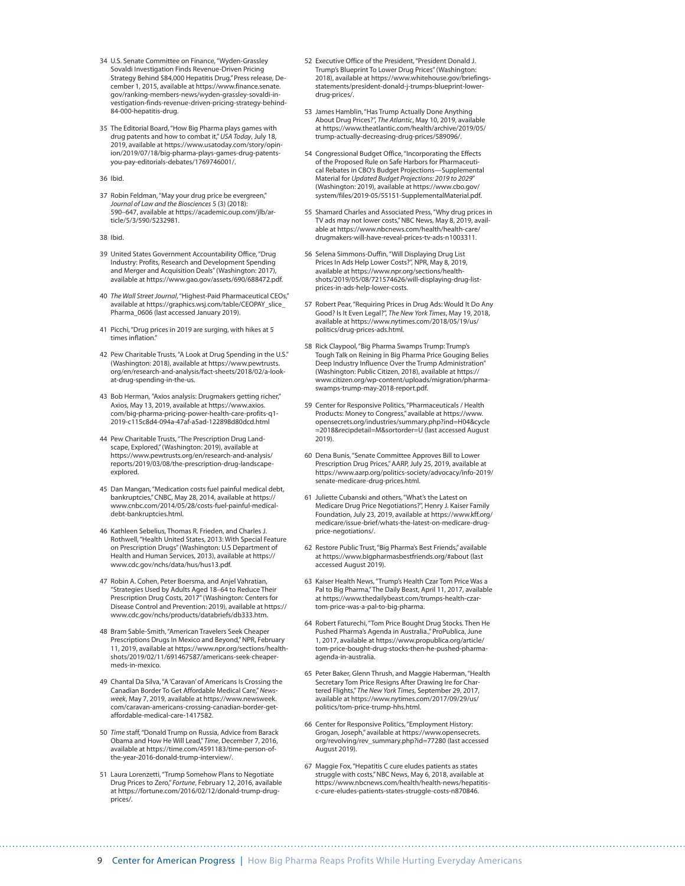- 34 U.S. Senate Committee on Finance, "Wyden-Grassley Sovaldi Investigation Finds Revenue-Driven Pricing Strategy Behind \$84,000 Hepatitis Drug," Press release, December 1, 2015, available at [https://www.finance.senate.](https://www.finance.senate.gov/ranking-members-news/wyden-grassley-sovaldi-investigation-finds-revenue-driven-pricing-strategy-behind-84-000-hepatitis-drug) [gov/ranking-members-news/wyden-grassley-sovaldi-in](https://www.finance.senate.gov/ranking-members-news/wyden-grassley-sovaldi-investigation-finds-revenue-driven-pricing-strategy-behind-84-000-hepatitis-drug)[vestigation-finds-revenue-driven-pricing-strategy-behind-](https://www.finance.senate.gov/ranking-members-news/wyden-grassley-sovaldi-investigation-finds-revenue-driven-pricing-strategy-behind-84-000-hepatitis-drug)[84-000-hepatitis-drug](https://www.finance.senate.gov/ranking-members-news/wyden-grassley-sovaldi-investigation-finds-revenue-driven-pricing-strategy-behind-84-000-hepatitis-drug).
- 35 The Editorial Board, "How Big Pharma plays games with drug patents and how to combat it," *USA Today*, July 18, 2019, available at [https://www.usatoday.com/story/opin](https://www.usatoday.com/story/opinion/2019/07/18/big-pharma-plays-games-drug-patents-you-pay-editorials-debates/1769746001/)[ion/2019/07/18/big-pharma-plays-games-drug-patents](https://www.usatoday.com/story/opinion/2019/07/18/big-pharma-plays-games-drug-patents-you-pay-editorials-debates/1769746001/)[you-pay-editorials-debates/1769746001/.](https://www.usatoday.com/story/opinion/2019/07/18/big-pharma-plays-games-drug-patents-you-pay-editorials-debates/1769746001/)

36 Ibid.

37 Robin Feldman, "May your drug price be evergreen," *Journal of Law and the Biosciences* 5 (3) (2018): 590–647, available at [https://academic.oup.com/jlb/ar](https://academic.oup.com/jlb/article/5/3/590/5232981)[ticle/5/3/590/5232981](https://academic.oup.com/jlb/article/5/3/590/5232981).

38 Ibid.

- 39 United States Government Accountability Office, "Drug Industry: Profits, Research and Development Spending and Merger and Acquisition Deals" (Washington: 2017), available at [https://www.gao.gov/assets/690/688472.pdf.](https://www.gao.gov/assets/690/688472.pdf)
- 40 *The Wall Street Journal*, "Highest-Paid Pharmaceutical CEOs," available at [https://graphics.wsj.com/table/CEOPAY\\_slice\\_](https://graphics.wsj.com/table/CEOPAY_slice_Pharma_0606) [Pharma\\_0606](https://graphics.wsj.com/table/CEOPAY_slice_Pharma_0606) (last accessed January 2019).
- 41 Picchi, "Drug prices in 2019 are surging, with hikes at 5 times inflation."
- 42 Pew Charitable Trusts, "A Look at Drug Spending in the U.S." (Washington: 2018), available at [https://www.pewtrusts.](https://www.pewtrusts.org/en/research-and-analysis/fact-sheets/2018/02/a-look-at-drug-spending-in-the-us) [org/en/research-and-analysis/fact-sheets/2018/02/a-look](https://www.pewtrusts.org/en/research-and-analysis/fact-sheets/2018/02/a-look-at-drug-spending-in-the-us)[at-drug-spending-in-the-us](https://www.pewtrusts.org/en/research-and-analysis/fact-sheets/2018/02/a-look-at-drug-spending-in-the-us).
- 43 Bob Herman, "Axios analysis: Drugmakers getting richer," Axios, May 13, 2019, available at [https://www.axios.](https://www.axios.com/big-pharma-pricing-power-health-care-profits-q1-2019-c115c8d4-094a-47af-a5ad-122898d80dcd.html) [com/big-pharma-pricing-power-health-care-profits-q1-](https://www.axios.com/big-pharma-pricing-power-health-care-profits-q1-2019-c115c8d4-094a-47af-a5ad-122898d80dcd.html) [2019-c115c8d4-094a-47af-a5ad-122898d80dcd.html](https://www.axios.com/big-pharma-pricing-power-health-care-profits-q1-2019-c115c8d4-094a-47af-a5ad-122898d80dcd.html)
- 44 Pew Charitable Trusts, "The Prescription Drug Landscape, Explored," (Washington: 2019), available at [https://www.pewtrusts.org/en/research-and-analysis/](https://www.pewtrusts.org/en/research-and-analysis/reports/2019/03/08/the-prescription-drug-landscape-explored) [reports/2019/03/08/the-prescription-drug-landscape](https://www.pewtrusts.org/en/research-and-analysis/reports/2019/03/08/the-prescription-drug-landscape-explored)[explored.](https://www.pewtrusts.org/en/research-and-analysis/reports/2019/03/08/the-prescription-drug-landscape-explored)
- 45 Dan Mangan, "Medication costs fuel painful medical debt, bankruptcies," CNBC, May 28, 2014, available at [https://](https://www.cnbc.com/2014/05/28/costs-fuel-painful-medical-debt-bankruptcies.html) [www.cnbc.com/2014/05/28/costs-fuel-painful-medical](https://www.cnbc.com/2014/05/28/costs-fuel-painful-medical-debt-bankruptcies.html)[debt-bankruptcies.html](https://www.cnbc.com/2014/05/28/costs-fuel-painful-medical-debt-bankruptcies.html).
- 46 Kathleen Sebelius, Thomas R. Frieden, and Charles J. Rothwell, "Health United States, 2013: With Special Feature on Prescription Drugs" (Washington: U.S Department of Health and Human Services, 2013), available at [https://](https://www.cdc.gov/nchs/data/hus/hus13.pdf) [www.cdc.gov/nchs/data/hus/hus13.pdf.](https://www.cdc.gov/nchs/data/hus/hus13.pdf)
- 47 Robin A. Cohen, Peter Boersma, and Anjel Vahratian, "Strategies Used by Adults Aged 18–64 to Reduce Their Prescription Drug Costs, 2017" (Washington: Centers for Disease Control and Prevention: 2019), available at [https://](https://www.cdc.gov/nchs/products/databriefs/db333.htm) [www.cdc.gov/nchs/products/databriefs/db333.htm](https://www.cdc.gov/nchs/products/databriefs/db333.htm).
- 48 Bram Sable-Smith, "American Travelers Seek Cheaper Prescriptions Drugs In Mexico and Beyond," NPR, February 11, 2019, available at [https://www.npr.org/sections/health](https://www.npr.org/sections/health-shots/2019/02/11/691467587/americans-seek-cheaper-meds-in-mexico)[shots/2019/02/11/691467587/americans-seek-cheaper](https://www.npr.org/sections/health-shots/2019/02/11/691467587/americans-seek-cheaper-meds-in-mexico)[meds-in-mexico.](https://www.npr.org/sections/health-shots/2019/02/11/691467587/americans-seek-cheaper-meds-in-mexico)
- 49 Chantal Da Silva, "A 'Caravan' of Americans Is Crossing the Canadian Border To Get Affordable Medical Care," *Newsweek*, May 7, 2019, available at [https://www.newsweek.](https://www.newsweek.com/caravan-americans-crossing-canadian-border-get-affordable-medical-care-1417582) [com/caravan-americans-crossing-canadian-border-get](https://www.newsweek.com/caravan-americans-crossing-canadian-border-get-affordable-medical-care-1417582)[affordable-medical-care-1417582](https://www.newsweek.com/caravan-americans-crossing-canadian-border-get-affordable-medical-care-1417582).
- 50 *Time* staff, "Donald Trump on Russia, Advice from Barack Obama and How He Will Lead," *Time*, December 7, 2016, available at [https://time.com/4591183/time-person-of](https://time.com/4591183/time-person-of-the-year-2016-donald-trump-interview/)[the-year-2016-donald-trump-interview/.](https://time.com/4591183/time-person-of-the-year-2016-donald-trump-interview/)
- 51 Laura Lorenzetti, "Trump Somehow Plans to Negotiate Drug Prices to Zero," *Fortune*, February 12, 2016, available at [https://fortune.com/2016/02/12/donald-trump-drug](https://fortune.com/2016/02/12/donald-trump-drug-prices/)[prices/](https://fortune.com/2016/02/12/donald-trump-drug-prices/).
- 52 Executive Office of the President, "President Donald J. Trump's Blueprint To Lower Drug Prices" (Washington: 2018), available at [https://www.whitehouse.gov/briefings](https://www.whitehouse.gov/briefings-statements/president-donald-j-trumps-blueprint-lower-drug-prices/)[statements/president-donald-j-trumps-blueprint-lower](https://www.whitehouse.gov/briefings-statements/president-donald-j-trumps-blueprint-lower-drug-prices/)[drug-prices/](https://www.whitehouse.gov/briefings-statements/president-donald-j-trumps-blueprint-lower-drug-prices/).
- 53 James Hamblin, "Has Trump Actually Done Anything About Drug Prices?", *The Atlantic*, May 10, 2019, available at [https://www.theatlantic.com/health/archive/2019/05/](https://www.theatlantic.com/health/archive/2019/05/trump-actually-decreasing-drug-prices/589096/) [trump-actually-decreasing-drug-prices/589096/.](https://www.theatlantic.com/health/archive/2019/05/trump-actually-decreasing-drug-prices/589096/)
- 54 Congressional Budget Office, "Incorporating the Effects of the Proposed Rule on Safe Harbors for Pharmaceutical Rebates in CBO's Budget Projections—Supplemental Material for *Updated Budget Projections: 2019 to 2029*" (Washington: 2019), available at [https://www.cbo.gov/](https://www.cbo.gov/system/files/2019-05/55151-SupplementalMaterial.pdf) [system/files/2019-05/55151-SupplementalMaterial.pdf.](https://www.cbo.gov/system/files/2019-05/55151-SupplementalMaterial.pdf)
- 55 Shamard Charles and Associated Press, "Why drug prices in TV ads may not lower costs," NBC News, May 8, 2019, available at [https://www.nbcnews.com/health/health-care/](https://www.nbcnews.com/health/health-care/drugmakers-will-have-reveal-prices-tv-ads-n1003311) [drugmakers-will-have-reveal-prices-tv-ads-n1003311](https://www.nbcnews.com/health/health-care/drugmakers-will-have-reveal-prices-tv-ads-n1003311).
- 56 Selena Simmons-Duffin, "Will Displaying Drug List Prices In Ads Help Lower Costs?", NPR, May 8, 2019, available at [https://www.npr.org/sections/health](https://www.npr.org/sections/health-shots/2019/05/08/721574626/will-displaying-drug-list-prices-in-ads-help-lower-costs)[shots/2019/05/08/721574626/will-displaying-drug-list](https://www.npr.org/sections/health-shots/2019/05/08/721574626/will-displaying-drug-list-prices-in-ads-help-lower-costs)[prices-in-ads-help-lower-costs.](https://www.npr.org/sections/health-shots/2019/05/08/721574626/will-displaying-drug-list-prices-in-ads-help-lower-costs)
- 57 Robert Pear, "Requiring Prices in Drug Ads: Would It Do Any Good? Is It Even Legal?", *The New York Times*, May 19, 2018, available at [https://www.nytimes.com/2018/05/19/us/](https://www.nytimes.com/2018/05/19/us/politics/drug-prices-ads.html) [politics/drug-prices-ads.html](https://www.nytimes.com/2018/05/19/us/politics/drug-prices-ads.html).
- 58 Rick Claypool, "Big Pharma Swamps Trump: Trump's Tough Talk on Reining in Big Pharma Price Gouging Belies Deep Industry Influence Over the Trump Administration" (Washington: Public Citizen, 2018), available at [https://](https://www.citizen.org/wp-content/uploads/migration/pharma-swamps-trump-may-2018-report.pdf) [www.citizen.org/wp-content/uploads/migration/pharma](https://www.citizen.org/wp-content/uploads/migration/pharma-swamps-trump-may-2018-report.pdf)[swamps-trump-may-2018-report.pdf](https://www.citizen.org/wp-content/uploads/migration/pharma-swamps-trump-may-2018-report.pdf).
- 59 Center for Responsive Politics, "Pharmaceuticals / Health Products: Money to Congress," available at [https://www.](https://www.opensecrets.org/industries/summary.php?ind=H04&cycle=2018&recipdetail=M&sortorder=U) [opensecrets.org/industries/summary.php?ind=H04&cycle](https://www.opensecrets.org/industries/summary.php?ind=H04&cycle=2018&recipdetail=M&sortorder=U) [=2018&recipdetail=M&sortorder=U](https://www.opensecrets.org/industries/summary.php?ind=H04&cycle=2018&recipdetail=M&sortorder=U) (last accessed August 2019).
- 60 Dena Bunis, "Senate Committee Approves Bill to Lower Prescription Drug Prices," AARP, July 25, 2019, available at [https://www.aarp.org/politics-society/advocacy/info-2019/](https://www.aarp.org/politics-society/advocacy/info-2019/senate-medicare-drug-prices.html) [senate-medicare-drug-prices.html.](https://www.aarp.org/politics-society/advocacy/info-2019/senate-medicare-drug-prices.html)
- 61 Juliette Cubanski and others, "What's the Latest on Medicare Drug Price Negotiations?", Henry J. Kaiser Family Foundation, July 23, 2019, available at [https://www.kff.org/](https://www.kff.org/medicare/issue-brief/whats-the-latest-on-medicare-drug-price-negotiations/) [medicare/issue-brief/whats-the-latest-on-medicare-drug](https://www.kff.org/medicare/issue-brief/whats-the-latest-on-medicare-drug-price-negotiations/)[price-negotiations/](https://www.kff.org/medicare/issue-brief/whats-the-latest-on-medicare-drug-price-negotiations/).
- 62 Restore Public Trust, "Big Pharma's Best Friends," available at https://www.bigpharmasbestfriends.org/#about (last accessed August 2019).
- 63 Kaiser Health News, "Trump's Health Czar Tom Price Was a Pal to Big Pharma," The Daily Beast, April 11, 2017, available at [https://www.thedailybeast.com/trumps-health-czar](https://www.thedailybeast.com/trumps-health-czar-tom-price-was-a-pal-to-big-pharma)[tom-price-was-a-pal-to-big-pharma](https://www.thedailybeast.com/trumps-health-czar-tom-price-was-a-pal-to-big-pharma).
- 64 Robert Faturechi, "Tom Price Bought Drug Stocks. Then He Pushed Pharma's Agenda in Australia.," ProPublica, June 1, 2017, available at [https://www.propublica.org/article/](https://www.propublica.org/article/tom-price-bought-drug-stocks-then-he-pushed-pharma-agenda-in-australia) [tom-price-bought-drug-stocks-then-he-pushed-pharma](https://www.propublica.org/article/tom-price-bought-drug-stocks-then-he-pushed-pharma-agenda-in-australia)[agenda-in-australia](https://www.propublica.org/article/tom-price-bought-drug-stocks-then-he-pushed-pharma-agenda-in-australia).
- 65 Peter Baker, Glenn Thrush, and Maggie Haberman, "Health Secretary Tom Price Resigns After Drawing Ire for Chartered Flights," *The New York Times*, September 29, 2017, available at [https://www.nytimes.com/2017/09/29/us/](https://www.nytimes.com/2017/09/29/us/politics/tom-price-trump-hhs.html) [politics/tom-price-trump-hhs.html](https://www.nytimes.com/2017/09/29/us/politics/tom-price-trump-hhs.html).
- 66 Center for Responsive Politics, "Employment History: Grogan, Joseph," available at [https://www.opensecrets.](https://www.opensecrets.org/revolving/rev_summary.php?id=77280) [org/revolving/rev\\_summary.php?id=77280](https://www.opensecrets.org/revolving/rev_summary.php?id=77280) (last accessed August 2019).
- 67 Maggie Fox, "Hepatitis C cure eludes patients as states struggle with costs," NBC News, May 6, 2018, available at [https://www.nbcnews.com/health/health-news/hepatitis](https://www.nbcnews.com/health/health-news/hepatitis-c-cure-eludes-patients-states-struggle-costs-n870846)[c-cure-eludes-patients-states-struggle-costs-n870846.](https://www.nbcnews.com/health/health-news/hepatitis-c-cure-eludes-patients-states-struggle-costs-n870846)